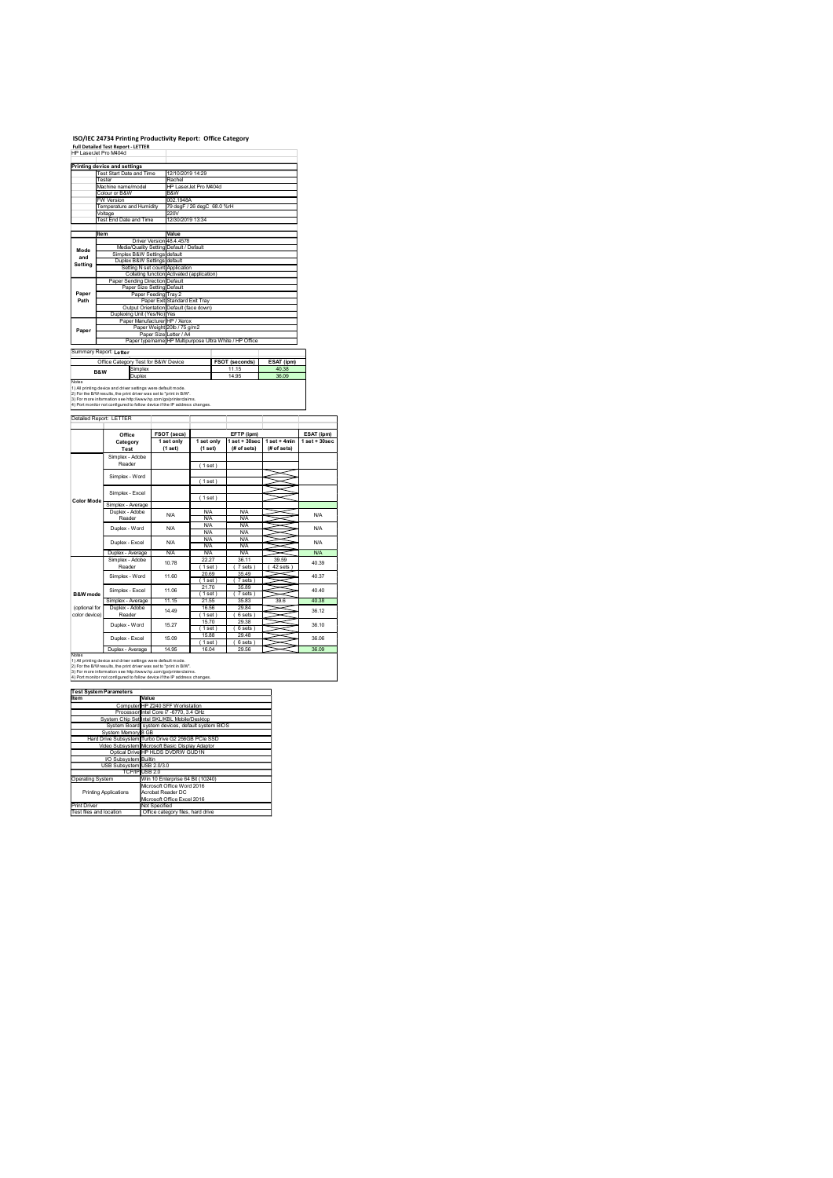## ISO/IEC 24734 Printing Productivity Report: Office Category Full Detailed Test Report - LETTER

|                                         | ISO/IEC 24734 Printing Productivity Report: Office Category<br>Full Detailed Test Report - LETTER<br>HP LaserJet Pro M404d<br>Printing device and settings                                                                                                                            |                                                                                                                               |                                                |                                                                                   |                                                      |                                                    |                         |
|-----------------------------------------|---------------------------------------------------------------------------------------------------------------------------------------------------------------------------------------------------------------------------------------------------------------------------------------|-------------------------------------------------------------------------------------------------------------------------------|------------------------------------------------|-----------------------------------------------------------------------------------|------------------------------------------------------|----------------------------------------------------|-------------------------|
|                                         | Test Start Date and Time<br>Tester<br>Machine name/model<br>Colour or B&W<br><b>W</b> Version<br>Temperature and Humidity                                                                                                                                                             |                                                                                                                               | 12/10/2019 14:29<br>Rachel<br>B&W<br>002.1948A | HP LaserJet Pro M404d<br>79 degF / 26 degC 68.0 %rH                               |                                                      |                                                    |                         |
|                                         | Voltage<br>Test End Date and Time<br>ltem                                                                                                                                                                                                                                             | Driver Version 48.4.4578                                                                                                      | 220V<br>12/30/2019 13:34<br>Value              |                                                                                   |                                                      |                                                    |                         |
| Mode<br>and<br>Setting                  | Media/Quality Setting Default / Default<br>Simplex B&W Settings default<br>Duplex B&W Settings default                                                                                                                                                                                | Setting N set count Application                                                                                               |                                                | Collating function Activated (application)                                        |                                                      |                                                    |                         |
| Paper<br>Path                           | Paper Sending Direction Default                                                                                                                                                                                                                                                       | Paper Size Setting Default<br>Paper Feeding Tray 2<br>Paper Exit Standard Exit Tray<br>Output Orientation Default (face down) |                                                |                                                                                   |                                                      |                                                    |                         |
| Paper                                   | Duplexing Unit (Yes/No) Yes<br>Paper Manufacturer HP / Xerox                                                                                                                                                                                                                          | Paper Weight 20lb / 75 g/m2                                                                                                   |                                                | Paper Size Letter / A4<br>Paper type/name HP Multipurpose Ultra White / HP Office |                                                      |                                                    |                         |
|                                         | Summary Report: Letter<br>Office Category Test for B&W Device<br>Simplex<br>B&W<br>Duplex                                                                                                                                                                                             |                                                                                                                               |                                                |                                                                                   | <b>FSOT (seconds)</b><br>11.15<br>14.95              | ESAT (ipm)<br>40.38<br>36.09                       |                         |
| Notes                                   | 1) All printing device and driver settings were default mode.<br>2) For the B/W results, the print driver was set to "print in B/W".<br>3) For more information see http://www.hp.com/go/printerclaims.<br>4) Port monitor not configured to follow device if the IP address changes. |                                                                                                                               |                                                |                                                                                   |                                                      |                                                    |                         |
|                                         | Detailed Report: LETTER<br>Office                                                                                                                                                                                                                                                     | <b>FSOT (secs)</b><br>1 set only                                                                                              |                                                | 1 set only                                                                        | EFTP (ipm)                                           | $1$ set + 30sec $1$ set + 4min<br>$1 set + 30 sec$ |                         |
|                                         | Category<br>Test<br>Simplex - Adobe<br>Reader                                                                                                                                                                                                                                         | (1 set)                                                                                                                       |                                                | (1 set)<br>(1 set)                                                                | (# of sets)                                          | $#$ of sets)                                       |                         |
| <b>Color Mode</b>                       | Simplex - Word<br>Simplex - Excel<br>Simplex - Average                                                                                                                                                                                                                                |                                                                                                                               |                                                | (1 set)<br>(1 set)                                                                |                                                      |                                                    |                         |
|                                         | Duplex - Adobe<br>Reader<br>Duplex - Word                                                                                                                                                                                                                                             | <b>N/A</b><br><b>N/A</b>                                                                                                      |                                                | <b>N/A</b><br><b>N/A</b><br><b>N/A</b><br><b>N/A</b>                              | <b>N/A</b><br><b>N/A</b><br><b>N/A</b><br><b>N/A</b> |                                                    |                         |
|                                         | Duplex - Excel<br>Duplex - Average<br>Simplex - Adobe<br>Reader                                                                                                                                                                                                                       | <b>N/A</b><br><b>N/A</b>                                                                                                      | 10.78                                          | <b>N/A</b><br>N/A<br><b>N/A</b><br>22.27<br>(1 set)                               | <b>N/A</b><br>N/A<br><b>N/A</b><br>36.11<br>(7 sets) | X<br>39.59<br>(42 sets)                            |                         |
| <b>B&amp;W</b> mode                     | Simplex - Word<br>Simplex - Excel<br>Simplex - Average                                                                                                                                                                                                                                | 11.60<br>11.06<br>11.15                                                                                                       |                                                | 20.69<br>(1 set)<br>21.70<br>(1 set)<br>21.55                                     | 35.49<br>(7 sets)<br>35.89<br>(7 sets)<br>35.83      | ≂<br>∍<br>X<br>∍<br>~<br>~<br>39.6                 | 40.37<br>40.40<br>40.38 |
| (optional for<br>color device)          | Duplex - Adobe<br>Reader<br>Duplex - Word<br>Duplex - Excel                                                                                                                                                                                                                           | 14.49<br>15.27<br>15.09                                                                                                       |                                                | 16.56<br>(1 set)<br>15.70<br>(1 set)<br>15.88                                     | 29.84<br>(6 sets)<br>29.38<br>(6 sets)<br>29.48      | ~<br>≍<br>∍                                        | 36.12<br>36.10          |
| Notes                                   | Duplex - Average<br>1) All printing device and driver settings were default mode.<br>2) For the B/W results, the print driver was set to "print in B/W".<br>3) For more information see http://www.hp.com/go/printerclaims.                                                           | 14.95                                                                                                                         |                                                | (1 set)<br>16.04                                                                  | (6 sets)<br>29.56                                    |                                                    | 36.06<br>36.09          |
| Item                                    | 4) Port monitor not configured to follow device if the IP address changes.<br><b>Test System Parameters</b>                                                                                                                                                                           | Value                                                                                                                         |                                                |                                                                                   |                                                      |                                                    |                         |
|                                         | Computer HP Z240 SFF Workstation<br>Processor Intel Core i7 -6770, 3.4 GHz<br>System Chip Set Intel SKL/KBL Mobile/Desktop<br>System Board system devices, default system BIOS                                                                                                        |                                                                                                                               |                                                |                                                                                   |                                                      |                                                    |                         |
|                                         | System Memory 8 GB<br>Hard Drive Subsystem Turbo Drive G2 256GB PCIe SSD<br>Video Subsystem Microsoft Basic Display Adaptor<br>Optical Drive HP HLDS DVDRW GUD1N<br>VO Subsystem Builtin<br>USB Subsystem USB 2.0/3.0                                                                 |                                                                                                                               |                                                |                                                                                   |                                                      |                                                    |                         |
| Operating System                        | TCP/IP USB 2.0                                                                                                                                                                                                                                                                        | Microsoft Office Word 2016<br>Acrobat Reader DC                                                                               |                                                | Win 10 Enterprise 64 Bit (10240)                                                  |                                                      |                                                    |                         |
| Print Driver<br>Test files and location | <b>Printing Applications</b>                                                                                                                                                                                                                                                          | Microsoft Office Excel 2016<br>Not Specified<br>Office category files, hard drive                                             |                                                |                                                                                   |                                                      |                                                    |                         |
|                                         |                                                                                                                                                                                                                                                                                       |                                                                                                                               |                                                |                                                                                   |                                                      |                                                    |                         |
|                                         |                                                                                                                                                                                                                                                                                       |                                                                                                                               |                                                |                                                                                   |                                                      |                                                    |                         |
|                                         |                                                                                                                                                                                                                                                                                       |                                                                                                                               |                                                |                                                                                   |                                                      |                                                    |                         |

| Item                        | Value                                              |
|-----------------------------|----------------------------------------------------|
|                             | Computer HP Z240 SFF Workstation                   |
|                             | Processor Intel Core i7 -6770, 3.4 GHz             |
|                             | System Chip Set Intel SKL/KBL Mobile/Desktop       |
|                             | System Board system devices, default system BIOS   |
| System Memory 8 GB          |                                                    |
|                             | Hard Drive Subsystem Turbo Drive G2 256GB PCle SSD |
|                             | Video Subsystem Microsoft Basic Display Adaptor    |
|                             | Optical Drive HP HLDS DVDRW GUD1N                  |
| <b>VO Subsystem Builtin</b> |                                                    |
| USB Subsystem USB 2.0/3.0   |                                                    |
|                             | TCP/IPIUSB 2.0                                     |
| <b>Operating System</b>     | Win 10 Enterprise 64 Bit (10240)                   |
|                             | Microsoft Office Word 2016                         |
| Printing Applications       | Acrobat Reader DC                                  |
|                             | Microsoft Office Excel 2016                        |
| Print Driver                | Not Specified                                      |
| Tool floo and location      | Office entered flee hard drive                     |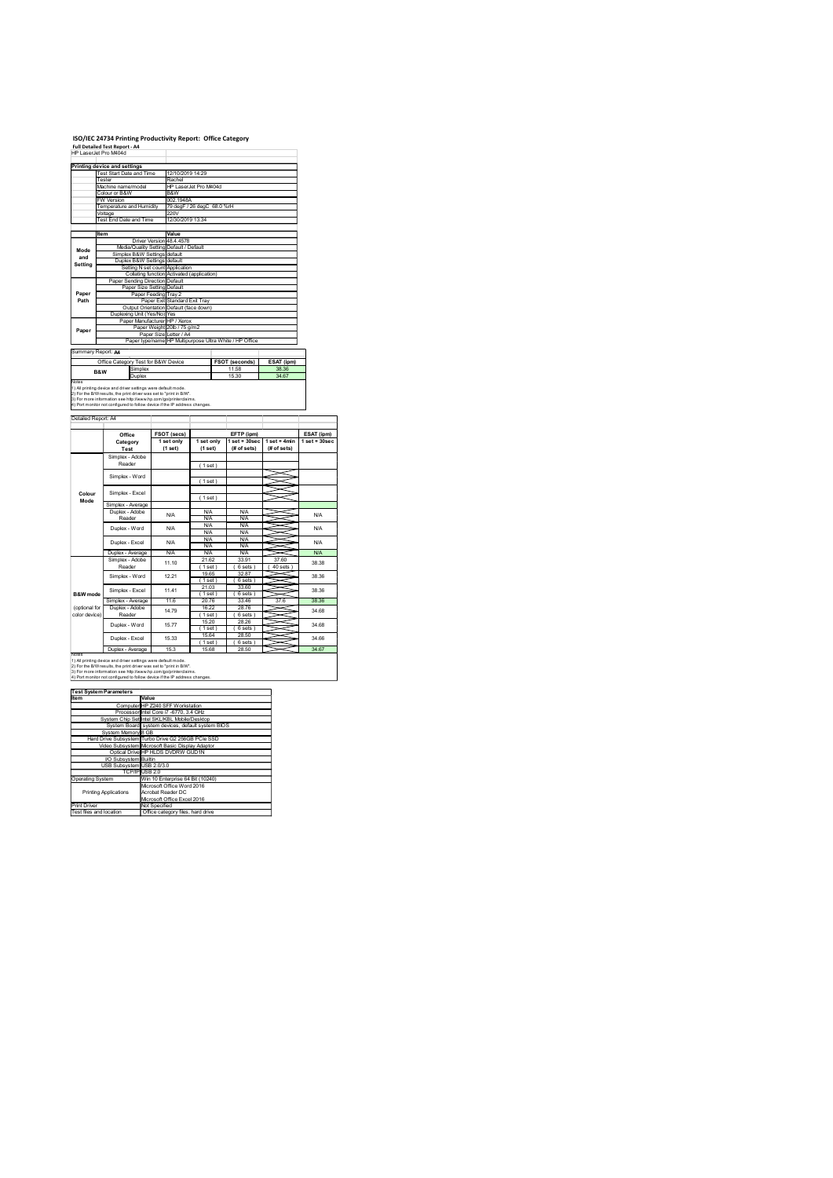# ISO/IEC 24734 Printing Productivity Report: Office Category

|                                | ISO/IEC 24734 Printing Productivity Report: Office Category                                                                                                                                                                                                                           |                                                                                                                                           |                                                                                      |                                                      |                                              |                         |
|--------------------------------|---------------------------------------------------------------------------------------------------------------------------------------------------------------------------------------------------------------------------------------------------------------------------------------|-------------------------------------------------------------------------------------------------------------------------------------------|--------------------------------------------------------------------------------------|------------------------------------------------------|----------------------------------------------|-------------------------|
|                                |                                                                                                                                                                                                                                                                                       |                                                                                                                                           |                                                                                      |                                                      |                                              |                         |
|                                |                                                                                                                                                                                                                                                                                       |                                                                                                                                           |                                                                                      |                                                      |                                              |                         |
|                                |                                                                                                                                                                                                                                                                                       |                                                                                                                                           |                                                                                      |                                                      |                                              |                         |
|                                |                                                                                                                                                                                                                                                                                       |                                                                                                                                           |                                                                                      |                                                      |                                              |                         |
|                                |                                                                                                                                                                                                                                                                                       |                                                                                                                                           |                                                                                      |                                                      |                                              |                         |
|                                |                                                                                                                                                                                                                                                                                       |                                                                                                                                           |                                                                                      |                                                      |                                              |                         |
|                                |                                                                                                                                                                                                                                                                                       |                                                                                                                                           |                                                                                      |                                                      |                                              |                         |
|                                |                                                                                                                                                                                                                                                                                       |                                                                                                                                           |                                                                                      |                                                      |                                              |                         |
|                                | Full Detailed Test Report - A4<br>HP LaserJet Pro M404d<br>Printing device and settings                                                                                                                                                                                               |                                                                                                                                           |                                                                                      |                                                      |                                              |                         |
|                                | Test Start Date and Time<br>Tester<br>Machine name/model<br>Colour or B&W<br><b>W</b> Version<br>Temperature and Humidity                                                                                                                                                             | Rachel<br>B&W                                                                                                                             | 12/10/2019 14:29<br>HP LaserJet Pro M404d<br>002.1948A<br>79 degF / 26 degC 68.0 %rH |                                                      |                                              |                         |
|                                | Voltage<br>Test End Date and Time<br>ltem                                                                                                                                                                                                                                             | 220V<br>Value<br>Driver Version 48.4.4578                                                                                                 | 12/30/2019 13:34                                                                     |                                                      |                                              |                         |
| Mode<br>and<br>Setting         |                                                                                                                                                                                                                                                                                       | Media/Quality Setting Default / Default<br>Simplex B&W Settings default<br>Duplex B&W Settings default<br>Setting N set count Application | Collating function Activated (application)                                           |                                                      |                                              |                         |
| Paper<br>Path                  |                                                                                                                                                                                                                                                                                       | Paper Sending Direction Default<br>Paper Size Setting Default<br>Paper Feeding Tray 2                                                     | Paper Exit Standard Exit Tray<br>Output Orientation Default (face down)              |                                                      |                                              |                         |
| Paper                          |                                                                                                                                                                                                                                                                                       | Duplexing Unit (Yes/No) Yes<br>Paper Manufacturer HP / Xerox<br>Paper Weight 20lb / 75 g/m2                                               | Paper Size Letter / A4<br>Paper type/name HP Multipurpose Ultra White / HP Office    |                                                      |                                              |                         |
|                                | Summary Report: A4<br>Office Category Test for B&W Device<br>Simplex<br>B&W<br>Duplex                                                                                                                                                                                                 |                                                                                                                                           |                                                                                      | FSOT (seconds)<br>11.58<br>15.30                     | ESAT (ipm)<br>38.36<br>34.67                 |                         |
| Notes                          | 1) All printing device and driver settings were default mode.<br>2) For the B/W results, the print driver was set to "print in B/W".<br>3) For more information see http://www.hp.com/go/printerclaims.<br>4) Port monitor not configured to follow device if the IP address changes. |                                                                                                                                           |                                                                                      |                                                      |                                              |                         |
|                                | Detailed Report: A4<br>Office                                                                                                                                                                                                                                                         | <b>FSOT (secs)</b><br>1 set only                                                                                                          | 1 set only                                                                           | EFTP (ipm)                                           | 1 set + 30sec   1 set + 4min   1 set + 30sec |                         |
|                                | Category<br>Test<br>Simplex - Adobe<br>Reader                                                                                                                                                                                                                                         | (1 set)                                                                                                                                   | (1 set)<br>(1 set)                                                                   | (# of sets)                                          | $#$ of sets)                                 |                         |
| Colour<br>Mode                 | Simplex - Word<br>Simplex - Excel<br>Simplex - Average                                                                                                                                                                                                                                |                                                                                                                                           | (1 set)<br>(1 set)                                                                   |                                                      |                                              |                         |
|                                | Duplex - Adobe<br>Reader<br>Duplex - Word                                                                                                                                                                                                                                             | <b>N/A</b><br><b>N/A</b>                                                                                                                  | <b>N/A</b><br><b>N/A</b><br><b>N/A</b><br><b>N/A</b>                                 | <b>N/A</b><br><b>N/A</b><br><b>N/A</b><br><b>N/A</b> |                                              |                         |
|                                | Duplex - Excel<br>Duplex - Average<br>Simplex - Adobe<br>Reader                                                                                                                                                                                                                       | <b>N/A</b><br><b>N/A</b><br>11.10                                                                                                         | <b>N/A</b><br>N/A<br><b>N/A</b><br>21.62<br>(1 set)                                  | N/A<br>N/A<br><b>N/A</b><br>33.91<br>(6 sets)        | X<br>37.60<br>(40 sets)                      |                         |
| B&W mode                       | Simplex - Word<br>Simplex - Excel<br>Simplex - Average                                                                                                                                                                                                                                | 12.21<br>11.41<br>11.6                                                                                                                    | 19.65<br>(1 set)<br>21.03<br>(1 set)<br>20.76                                        | 32.87<br>(6 sets)<br>33.60<br>(6 sets)<br>33.46      | ≂<br>∍<br>X<br>∍<br>~<br>~<br>37.6           | 38.36<br>38.36<br>38.36 |
| (optional for<br>color device) | Duplex - Adobe<br>Reader<br>Duplex - Word                                                                                                                                                                                                                                             | 14.79<br>15.77                                                                                                                            | 16.22<br>(1 set)<br>15.20<br>(1 set)<br>15.64                                        | 28.76<br>(6 sets)<br>28.26<br>(6 sets)<br>28.50      | $\tilde{}$<br>~<br>∍                         | 34.68<br>34.68          |
| Notes                          | Duplex - Excel<br>Duplex - Average<br>1) All printing device and driver settings were default mode.<br>2) For the B/W results, the print driver was set to "print in B/W".                                                                                                            | 15.33<br>15.3                                                                                                                             | (1 set)<br>15.68                                                                     | (6 sets)<br>28.50                                    |                                              | 34.66<br>34.67          |
|                                | 3) For more information see http://www.hp.com/go/printerclaims.<br>4) Port monitor not configured to follow device if the IP address changes.<br><b>Test System Parameters</b>                                                                                                        | Value                                                                                                                                     |                                                                                      |                                                      |                                              |                         |
|                                |                                                                                                                                                                                                                                                                                       | Computer HP Z240 SFF Workstation<br>Processor Intel Core i7 -6770, 3.4 GHz                                                                |                                                                                      |                                                      |                                              |                         |
| Item                           | System Chip Set Intel SKL/KBL Mobile/Desktop<br>System Board system devices, default system BIOS                                                                                                                                                                                      |                                                                                                                                           |                                                                                      |                                                      |                                              |                         |
|                                | System Memory 8 GB<br>Hard Drive Subsystem Turbo Drive G2 256GB PCIe SSD<br>Video Subsystem Microsoft Basic Display Adaptor                                                                                                                                                           | Optical Drive HP HLDS DVDRW GUD1N                                                                                                         |                                                                                      |                                                      |                                              |                         |
|                                | VO Subsystem Builtin<br>USB Subsystem USB 2.0/3.0<br>Operating System<br><b>Printing Applications</b>                                                                                                                                                                                 | TCP/IP USB 2.0<br>Microsoft Office Word 2016<br>Acrobat Reader DC                                                                         | Win 10 Enterprise 64 Bit (10240)                                                     |                                                      |                                              |                         |
|                                | Print Driver<br>Test files and location                                                                                                                                                                                                                                               | Microsoft Office Excel 2016<br>Not Specified                                                                                              | Office category files, hard drive                                                    |                                                      |                                              |                         |
|                                |                                                                                                                                                                                                                                                                                       |                                                                                                                                           |                                                                                      |                                                      |                                              |                         |

| iest System Parameters      |                                                    |
|-----------------------------|----------------------------------------------------|
| Item                        | Value                                              |
|                             | Computer HP Z240 SFF Workstation                   |
|                             | Processor Intel Core i7 -6770, 3.4 GHz             |
|                             | System Chip Set Intel SKL/KBL Mobile/Desktop       |
|                             | System Board system devices, default system BIOS   |
| System Memory 8 GB          |                                                    |
|                             | Hard Drive Subsystem Turbo Drive G2 256GB PCle SSD |
|                             | Video Subsystem Microsoft Basic Display Adaptor    |
|                             | Optical Drive HP HLDS DVDRW GUD1N                  |
| <b>VO Subsystem Builtin</b> |                                                    |
| USB Subsystem USB 2.0/3.0   |                                                    |
|                             | TCP/IPIUSB 2.0                                     |
| <b>Operating System</b>     | Win 10 Enterprise 64 Bit (10240)                   |
|                             | Microsoft Office Word 2016                         |
| Printing Applications       | Acrobat Reader DC                                  |
|                             | Microsoft Office Excel 2016                        |
| Print Driver                | Not Specified                                      |
|                             |                                                    |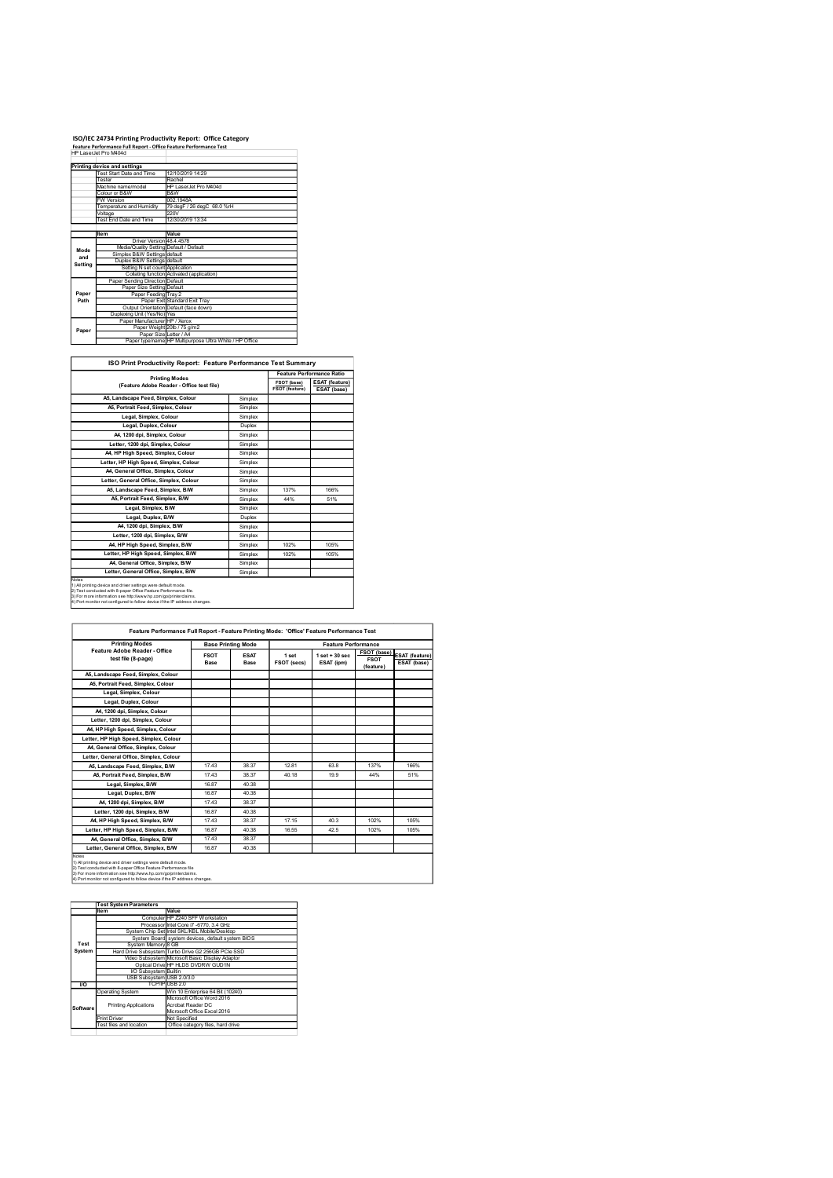### ISO/IEC 24734 Printing Productivity Report: Office Category Feature Performance Full Report - Office Feature Performance Test

|             | ISO/IEC 24734 Printing Productivity Report: Office Category                                |                                                                                   |                    |                               |                                      |
|-------------|--------------------------------------------------------------------------------------------|-----------------------------------------------------------------------------------|--------------------|-------------------------------|--------------------------------------|
|             | Feature Performance Full Report - Office Feature Performance Test<br>HP LaserJet Pro M404d |                                                                                   |                    |                               |                                      |
|             |                                                                                            |                                                                                   |                    |                               |                                      |
|             |                                                                                            |                                                                                   |                    |                               |                                      |
|             | Printing device and settings<br><b>Test Start Date and Time</b>                            | 12/10/2019 14:29                                                                  |                    |                               |                                      |
|             | Tester<br>Machine name/model                                                               | Rachel<br>HP LaserJet Pro M404d                                                   |                    |                               |                                      |
|             | Colour or B&W<br><b>FW Version</b>                                                         | B&W<br>002.1948A                                                                  |                    |                               |                                      |
|             | Temperature and Humidity                                                                   | 79 degF / 26 degC 68.0 %rH                                                        |                    |                               |                                      |
|             | Voltage<br>Test End Date and Time                                                          | 220V<br>12/30/2019 13:34                                                          |                    |                               |                                      |
|             | Item                                                                                       | Value                                                                             |                    |                               |                                      |
|             | Driver Version 48.4.4578<br>Media/Quality Setting Default / Default                        |                                                                                   |                    |                               |                                      |
| Mode<br>and | Simplex B&W Settings default                                                               |                                                                                   |                    |                               |                                      |
| Setting     | Duplex B&W Settings default<br>Setting N set count Application                             |                                                                                   |                    |                               |                                      |
|             | Paper Sending Direction Default                                                            | Collating function Activated (application)                                        |                    |                               |                                      |
| Paper       | Paper Size Setting Default                                                                 |                                                                                   |                    |                               |                                      |
| Path        | Paper Feeding Tray 2                                                                       | Paper Exit Standard Exit Tray                                                     |                    |                               |                                      |
|             | Duplexing Unit (Yes/No) Yes                                                                | Output Orientation Default (face down)                                            |                    |                               |                                      |
|             | Paper Manufacturer HP / Xerox                                                              | Paper Weight 20lb / 75 g/m2                                                       |                    |                               |                                      |
| Paper       |                                                                                            | Paper Size Letter / A4<br>Paper type/name HP Multipurpose Ultra White / HP Office |                    |                               |                                      |
|             |                                                                                            |                                                                                   |                    |                               |                                      |
|             |                                                                                            | ISO Print Productivity Report: Feature Performance Test Summary                   |                    |                               |                                      |
|             |                                                                                            | <b>Printing Modes</b>                                                             |                    |                               | Feature Performance Ratio            |
|             |                                                                                            | (Feature Adobe Reader - Office test file)                                         |                    | FSOT (base)<br>FSOT (feature) | <b>ESAT</b> (feature)<br>ESAT (base) |
|             | A5, Landscape Feed, Simplex, Colour                                                        |                                                                                   | Simplex            |                               |                                      |
|             | A5, Portrait Feed, Simplex, Colour<br>Legal, Simplex, Colour                               |                                                                                   | Simplex<br>Simplex |                               |                                      |

| ISO Print Productivity Report: Feature Performance Test Summary |
|-----------------------------------------------------------------|
|-----------------------------------------------------------------|

|             | ISO/IEC 24734 Printing Productivity Report: Office Category<br>Feature Performance Full Report - Office Feature Performance Test                                                                                                                                                 |                                                                                            |                    |                |                           |
|-------------|----------------------------------------------------------------------------------------------------------------------------------------------------------------------------------------------------------------------------------------------------------------------------------|--------------------------------------------------------------------------------------------|--------------------|----------------|---------------------------|
|             | HP LaserJet Pro M404d                                                                                                                                                                                                                                                            |                                                                                            |                    |                |                           |
|             | Printing device and settings                                                                                                                                                                                                                                                     |                                                                                            |                    |                |                           |
|             | Test Start Date and Time<br>12/10/2019 14:29                                                                                                                                                                                                                                     |                                                                                            |                    |                |                           |
|             | Tester<br>Rachel<br>Machine name/model                                                                                                                                                                                                                                           | HP LaserJet Pro M404d                                                                      |                    |                |                           |
|             | Colour or B&W                                                                                                                                                                                                                                                                    | B&W<br>002.1948A                                                                           |                    |                |                           |
|             | FW Version<br>Temperature and Humidity                                                                                                                                                                                                                                           | 79 degF / 26 degC 68.0 %rH                                                                 |                    |                |                           |
|             | 220V<br>Voltage                                                                                                                                                                                                                                                                  |                                                                                            |                    |                |                           |
|             | Test End Date and Time                                                                                                                                                                                                                                                           | 12/30/2019 13:34                                                                           |                    |                |                           |
|             | Value<br>Item                                                                                                                                                                                                                                                                    |                                                                                            |                    |                |                           |
|             | Driver Version 48.4.4578<br>Media/Quality Setting Default / Default                                                                                                                                                                                                              |                                                                                            |                    |                |                           |
| Mode<br>and | Simplex B&W Settings default                                                                                                                                                                                                                                                     |                                                                                            |                    |                |                           |
| Setting     | Duplex B&W Settings default                                                                                                                                                                                                                                                      |                                                                                            |                    |                |                           |
|             | Setting N set count Application<br>Collating function Activated (application)                                                                                                                                                                                                    |                                                                                            |                    |                |                           |
|             | Paper Sending Direction Default                                                                                                                                                                                                                                                  |                                                                                            |                    |                |                           |
| Paper       | Paper Size Setting Default<br>Paper Feeding Tray 2                                                                                                                                                                                                                               |                                                                                            |                    |                |                           |
| Path        | Paper Exit Standard Exit Tray                                                                                                                                                                                                                                                    |                                                                                            |                    |                |                           |
|             | Output Orientation Default (face down)<br>Duplexing Unit (Yes/No) Yes                                                                                                                                                                                                            |                                                                                            |                    |                |                           |
|             | Paper Manufacturer HP / Xerox                                                                                                                                                                                                                                                    |                                                                                            |                    |                |                           |
| Paper       | Paper Weight 20lb / 75 g/m2<br>Paper Size Letter / A4                                                                                                                                                                                                                            |                                                                                            |                    |                |                           |
|             |                                                                                                                                                                                                                                                                                  | Paper type/name HP Multipurpose Ultra White / HP Office                                    |                    |                |                           |
|             |                                                                                                                                                                                                                                                                                  |                                                                                            |                    |                |                           |
|             | ISO Print Productivity Report: Feature Performance Test Summary                                                                                                                                                                                                                  |                                                                                            |                    |                |                           |
|             |                                                                                                                                                                                                                                                                                  |                                                                                            |                    |                | Feature Performance Ratio |
|             | <b>Printing Modes</b>                                                                                                                                                                                                                                                            |                                                                                            |                    | FSOT (base)    | ESAT (feature)            |
|             | (Feature Adobe Reader - Office test file)                                                                                                                                                                                                                                        |                                                                                            |                    | FSOT (feature) | ESAT (base)               |
|             | A5, Landscape Feed, Simplex, Colour                                                                                                                                                                                                                                              |                                                                                            | Simplex            |                |                           |
|             | A5, Portrait Feed, Simplex, Colour                                                                                                                                                                                                                                               |                                                                                            |                    |                |                           |
|             |                                                                                                                                                                                                                                                                                  |                                                                                            | Simplex            |                |                           |
|             | Legal, Simplex, Colour                                                                                                                                                                                                                                                           |                                                                                            | Simplex            |                |                           |
|             | Legal, Duplex, Colour                                                                                                                                                                                                                                                            |                                                                                            | Duplex             |                |                           |
|             | A4, 1200 dpi, Simplex, Colour                                                                                                                                                                                                                                                    |                                                                                            | Simplex            |                |                           |
|             | Letter, 1200 dpi, Simplex, Colour                                                                                                                                                                                                                                                |                                                                                            | Simplex            |                |                           |
|             | A4, HP High Speed, Simplex, Colour                                                                                                                                                                                                                                               |                                                                                            | Simplex            |                |                           |
|             | Letter, HP High Speed, Simplex, Colour                                                                                                                                                                                                                                           |                                                                                            | Simplex            |                |                           |
|             | A4, General Office, Simplex, Colour                                                                                                                                                                                                                                              |                                                                                            | Simplex            |                |                           |
|             | Letter, General Office, Simplex, Colour                                                                                                                                                                                                                                          |                                                                                            | Simplex            |                |                           |
|             | A5, Landscape Feed, Simplex, B/W                                                                                                                                                                                                                                                 |                                                                                            | Simplex            | 137%           | 166%                      |
|             | A5, Portrait Feed, Simplex, B/W                                                                                                                                                                                                                                                  |                                                                                            | Simplex            | 44%            | 51%                       |
|             | Legal, Simplex, B/W                                                                                                                                                                                                                                                              |                                                                                            | Simplex            |                |                           |
|             | Legal, Duplex, B/W                                                                                                                                                                                                                                                               |                                                                                            | Duplex             |                |                           |
|             | A4, 1200 dpi, Simplex, B/W<br>Letter, 1200 dpi, Simplex, B/W                                                                                                                                                                                                                     |                                                                                            | Simplex<br>Simplex |                |                           |
|             | A4, HP High Speed, Simplex, B/W                                                                                                                                                                                                                                                  |                                                                                            | Simplex            | 102%           | 105%                      |
|             | Letter, HP High Speed, Simplex, B/W                                                                                                                                                                                                                                              |                                                                                            | Simplex            | 102%           | 105%                      |
|             | A4, General Office, Simplex, B/W                                                                                                                                                                                                                                                 |                                                                                            | Simplex            |                |                           |
|             | Letter, General Office, Simplex, B/W                                                                                                                                                                                                                                             |                                                                                            | Simplex            |                |                           |
|             | ) All printing device and driver settings were default mode.<br>2) Test conducted with 8-paper Office Feature Performance file.<br>3) For more information see http://www.hp.com/go/printerclaims.<br>4) Port monitor not configured to follow device if the IP address changes. |                                                                                            |                    |                |                           |
|             |                                                                                                                                                                                                                                                                                  |                                                                                            |                    |                |                           |
|             |                                                                                                                                                                                                                                                                                  | Feature Performance Full Report - Feature Printing Mode: 'Office' Feature Performance Test |                    |                |                           |

| Feature Performance Full Report - Feature Printing Mode: 'Office' Feature Performance Test<br><b>Printing Modes</b><br><b>Base Printing Mode</b><br><b>Feature Performance</b><br>Feature Adobe Reader - Office<br>FSOT (base) ESAT (feature)<br><b>ESAT</b><br><b>FSOT</b><br>$1$ set $+30$ sec<br>1 set<br>test file (8-page)<br><b>FSOT</b><br>ESAT (ipm)<br>ESAT (base)<br>FSOT (secs)<br>Base<br>Base<br>(feature) |  |  |  |  |  |  |  |  |  |  |
|-------------------------------------------------------------------------------------------------------------------------------------------------------------------------------------------------------------------------------------------------------------------------------------------------------------------------------------------------------------------------------------------------------------------------|--|--|--|--|--|--|--|--|--|--|
|                                                                                                                                                                                                                                                                                                                                                                                                                         |  |  |  |  |  |  |  |  |  |  |
|                                                                                                                                                                                                                                                                                                                                                                                                                         |  |  |  |  |  |  |  |  |  |  |
|                                                                                                                                                                                                                                                                                                                                                                                                                         |  |  |  |  |  |  |  |  |  |  |

|         |                                                                                                                                                                                                                                                                                                                                                  | A5, Landscape Feed, Simplex, Colour              |                           | Simplex     |             |                                                                                            |                            |                       |
|---------|--------------------------------------------------------------------------------------------------------------------------------------------------------------------------------------------------------------------------------------------------------------------------------------------------------------------------------------------------|--------------------------------------------------|---------------------------|-------------|-------------|--------------------------------------------------------------------------------------------|----------------------------|-----------------------|
|         | A5, Portrait Feed, Simplex, Colour                                                                                                                                                                                                                                                                                                               |                                                  |                           | Simplex     |             |                                                                                            |                            |                       |
|         | Legal, Simplex, Colour                                                                                                                                                                                                                                                                                                                           |                                                  |                           | Simplex     |             |                                                                                            |                            |                       |
|         | Legal, Duplex, Colour                                                                                                                                                                                                                                                                                                                            |                                                  |                           | Duplex      |             |                                                                                            |                            |                       |
|         | A4, 1200 dpi, Simplex, Colour                                                                                                                                                                                                                                                                                                                    |                                                  |                           | Simplex     |             |                                                                                            |                            |                       |
|         | Letter, 1200 dpi, Simplex, Colour                                                                                                                                                                                                                                                                                                                |                                                  |                           | Simplex     |             |                                                                                            |                            |                       |
|         | A4, HP High Speed, Simplex, Colour                                                                                                                                                                                                                                                                                                               |                                                  |                           | Simplex     |             |                                                                                            |                            |                       |
|         | Letter, HP High Speed, Simplex, Colour                                                                                                                                                                                                                                                                                                           |                                                  |                           | Simplex     |             |                                                                                            |                            |                       |
|         | A4, General Office, Simplex, Colour                                                                                                                                                                                                                                                                                                              |                                                  |                           | Simplex     |             |                                                                                            |                            |                       |
|         | Letter, General Office, Simplex, Colour                                                                                                                                                                                                                                                                                                          |                                                  |                           | Simplex     |             |                                                                                            |                            |                       |
|         | A5, Landscape Feed, Simplex, B/W                                                                                                                                                                                                                                                                                                                 |                                                  |                           | Simplex     | 137%        | 166%                                                                                       |                            |                       |
|         | A5, Portrait Feed, Simplex, B/W                                                                                                                                                                                                                                                                                                                  |                                                  |                           | Simplex     | 44%         | 51%                                                                                        |                            |                       |
|         | Legal, Simplex, B/W                                                                                                                                                                                                                                                                                                                              |                                                  |                           | Simplex     |             |                                                                                            |                            |                       |
|         | Legal, Duplex, B/W                                                                                                                                                                                                                                                                                                                               |                                                  |                           | Duplex      |             |                                                                                            |                            |                       |
|         | A4, 1200 dpi, Simplex, B/W                                                                                                                                                                                                                                                                                                                       |                                                  |                           | Simplex     |             |                                                                                            |                            |                       |
|         | Letter, 1200 dpi, Simplex, B/W                                                                                                                                                                                                                                                                                                                   |                                                  |                           | Simplex     |             |                                                                                            |                            |                       |
|         | A4, HP High Speed, Simplex, B/W                                                                                                                                                                                                                                                                                                                  |                                                  |                           | Simplex     | 102%        | 105%                                                                                       |                            |                       |
|         | Letter, HP High Speed, Simplex, B/W                                                                                                                                                                                                                                                                                                              |                                                  |                           | Simplex     | 102%        | 105%                                                                                       |                            |                       |
|         | A4, General Office, Simplex, B/W                                                                                                                                                                                                                                                                                                                 |                                                  |                           | Simplex     |             |                                                                                            |                            |                       |
|         | Letter, General Office, Simplex, B/W                                                                                                                                                                                                                                                                                                             |                                                  |                           | Simplex     |             |                                                                                            |                            |                       |
|         | 1) All printing device and driver settings were default mode.<br>2) Test conducted with 8-paper Office Feature Performance file.<br>3) For more information see http://www.hp.com/go/printerclaims<br>4) Port monitor not configured to follow device if the IP address changes                                                                  |                                                  |                           |             |             |                                                                                            |                            |                       |
|         |                                                                                                                                                                                                                                                                                                                                                  |                                                  |                           |             |             | Feature Performance Full Report - Feature Printing Mode: 'Office' Feature Performance Test |                            |                       |
|         |                                                                                                                                                                                                                                                                                                                                                  |                                                  |                           |             |             |                                                                                            |                            |                       |
|         | <b>Printing Modes</b>                                                                                                                                                                                                                                                                                                                            |                                                  | <b>Base Printing Mode</b> |             |             | <b>Feature Performance</b>                                                                 |                            |                       |
|         | Feature Adobe Reader - Office<br>test file (8-page)                                                                                                                                                                                                                                                                                              | <b>FSOT</b>                                      |                           | <b>ESAT</b> | 1 set       | $1$ set $+30$ sec                                                                          | FSOT (base)<br><b>FSOT</b> | <b>ESAT (feature)</b> |
|         |                                                                                                                                                                                                                                                                                                                                                  | Base                                             |                           | Base        | FSOT (secs) | ESAT (ipm)                                                                                 | (feature)                  | ESAT (base)           |
|         | A5, Landscape Feed, Simplex, Colour                                                                                                                                                                                                                                                                                                              |                                                  |                           |             |             |                                                                                            |                            |                       |
|         | A5, Portrait Feed, Simplex, Colour                                                                                                                                                                                                                                                                                                               |                                                  |                           |             |             |                                                                                            |                            |                       |
|         | Legal, Simplex, Colour                                                                                                                                                                                                                                                                                                                           |                                                  |                           |             |             |                                                                                            |                            |                       |
|         | Legal, Duplex, Colour                                                                                                                                                                                                                                                                                                                            |                                                  |                           |             |             |                                                                                            |                            |                       |
|         | A4, 1200 dpi, Simplex, Colour                                                                                                                                                                                                                                                                                                                    |                                                  |                           |             |             |                                                                                            |                            |                       |
|         | Letter, 1200 dpi, Simplex, Colour                                                                                                                                                                                                                                                                                                                |                                                  |                           |             |             |                                                                                            |                            |                       |
|         |                                                                                                                                                                                                                                                                                                                                                  |                                                  |                           |             |             |                                                                                            |                            |                       |
|         | A4, HP High Speed, Simplex, Colour                                                                                                                                                                                                                                                                                                               |                                                  |                           |             |             |                                                                                            |                            |                       |
|         | Letter, HP High Speed, Simplex, Colour                                                                                                                                                                                                                                                                                                           |                                                  |                           |             |             |                                                                                            |                            |                       |
|         | A4, General Office, Simplex, Colour                                                                                                                                                                                                                                                                                                              |                                                  |                           |             |             |                                                                                            |                            |                       |
|         | Letter, General Office, Simplex, Colour                                                                                                                                                                                                                                                                                                          |                                                  |                           |             |             |                                                                                            |                            |                       |
|         | A5, Landscape Feed, Simplex, B/W                                                                                                                                                                                                                                                                                                                 |                                                  | 17.43                     | 38.37       | 12.81       | 63.8                                                                                       | 137%                       | 166%                  |
|         | A5, Portrait Feed, Simplex, B/W                                                                                                                                                                                                                                                                                                                  |                                                  | 17.43                     | 38.37       | 40.18       | 19.9                                                                                       | 44%                        | 51%                   |
|         | Legal, Simplex, B/W                                                                                                                                                                                                                                                                                                                              |                                                  | 16.87                     | 40.38       |             |                                                                                            |                            |                       |
|         | Legal, Duplex, B/W                                                                                                                                                                                                                                                                                                                               |                                                  | 16.87                     | 40.38       |             |                                                                                            |                            |                       |
|         | A4, 1200 dpi, Simplex, B/W                                                                                                                                                                                                                                                                                                                       |                                                  | 17.43                     | 38.37       |             |                                                                                            |                            |                       |
|         |                                                                                                                                                                                                                                                                                                                                                  | 16.87                                            |                           | 40.38       |             |                                                                                            |                            |                       |
|         | Letter, 1200 dpi, Simplex, B/W                                                                                                                                                                                                                                                                                                                   |                                                  |                           |             |             |                                                                                            |                            |                       |
|         | A4, HP High Speed, Simplex, B/W                                                                                                                                                                                                                                                                                                                  |                                                  | 17.43                     | 38.37       | 17.15       | 40.3                                                                                       | 102%                       | 105%                  |
|         | Letter, HP High Speed, Simplex, B/W                                                                                                                                                                                                                                                                                                              |                                                  | 16.87                     | 40.38       | 16.55       | 42.5                                                                                       | 102%                       | 105%                  |
|         | A4, General Office, Simplex, B/W                                                                                                                                                                                                                                                                                                                 |                                                  | 17.43                     | 38.37       |             |                                                                                            |                            |                       |
|         | Letter, General Office, Simplex, B/W                                                                                                                                                                                                                                                                                                             | 16.87                                            |                           | 40.38       |             |                                                                                            |                            |                       |
| otes    |                                                                                                                                                                                                                                                                                                                                                  |                                                  |                           |             |             |                                                                                            |                            |                       |
|         | All printing device and driver settings were default mode<br>2) Test conducted with 8-paper Office Feature Performance file<br>- 3) For more information see http://www.hp.com/go/printerclaims.<br>3) For more information see http://www.hp.com/go/printerclaims.<br>4) Port monitor not configured to follow device if the IP address changes |                                                  |                           |             |             |                                                                                            |                            |                       |
|         |                                                                                                                                                                                                                                                                                                                                                  |                                                  |                           |             |             |                                                                                            |                            |                       |
|         |                                                                                                                                                                                                                                                                                                                                                  |                                                  |                           |             |             |                                                                                            |                            |                       |
|         | <b>Test System Parameters</b><br>Item                                                                                                                                                                                                                                                                                                            | Value                                            |                           |             |             |                                                                                            |                            |                       |
|         |                                                                                                                                                                                                                                                                                                                                                  | Computer HP Z240 SFF Workstation                 |                           |             |             |                                                                                            |                            |                       |
|         |                                                                                                                                                                                                                                                                                                                                                  | Processor Intel Core i7 -6770, 3.4 GHz           |                           |             |             |                                                                                            |                            |                       |
|         | System Chip Set Intel SKL/KBL Mobile/Desktop                                                                                                                                                                                                                                                                                                     |                                                  |                           |             |             |                                                                                            |                            |                       |
| Test    | System Memory 8 GB                                                                                                                                                                                                                                                                                                                               | System Board system devices, default system BIOS |                           |             |             |                                                                                            |                            |                       |
| Systen  | Hard Drive Subsystem Turbo Drive G2 256GB PCle SSD                                                                                                                                                                                                                                                                                               |                                                  |                           |             |             |                                                                                            |                            |                       |
|         | Video Subsystem Microsoft Basic Display Adaptor                                                                                                                                                                                                                                                                                                  |                                                  |                           |             |             |                                                                                            |                            |                       |
|         |                                                                                                                                                                                                                                                                                                                                                  | Optical Drive HP HLDS DVDRW GUD1N                |                           |             |             |                                                                                            |                            |                       |
|         | VO Subsystem Builtin<br>USB Subsystem USB 2.0/3.0                                                                                                                                                                                                                                                                                                |                                                  |                           |             |             |                                                                                            |                            |                       |
| VQ      | TCP/IP USB 2.0                                                                                                                                                                                                                                                                                                                                   |                                                  |                           |             |             |                                                                                            |                            |                       |
|         | Dperating System                                                                                                                                                                                                                                                                                                                                 | Win 10 Enterprise 64 Bit (10240)                 |                           |             |             |                                                                                            |                            |                       |
|         |                                                                                                                                                                                                                                                                                                                                                  | Vicrosoft Office Word 2016<br>Acrobat Reader DC  |                           |             |             |                                                                                            |                            |                       |
| Softwar | <b>Printing Applications</b>                                                                                                                                                                                                                                                                                                                     | <b>Acrosoft Office Excel 2016</b>                |                           |             |             |                                                                                            |                            |                       |
|         | Print Driver                                                                                                                                                                                                                                                                                                                                     | Not Specified                                    |                           |             |             |                                                                                            |                            |                       |
|         | Fest files and location                                                                                                                                                                                                                                                                                                                          | Office category files, hard drive                |                           |             |             |                                                                                            |                            |                       |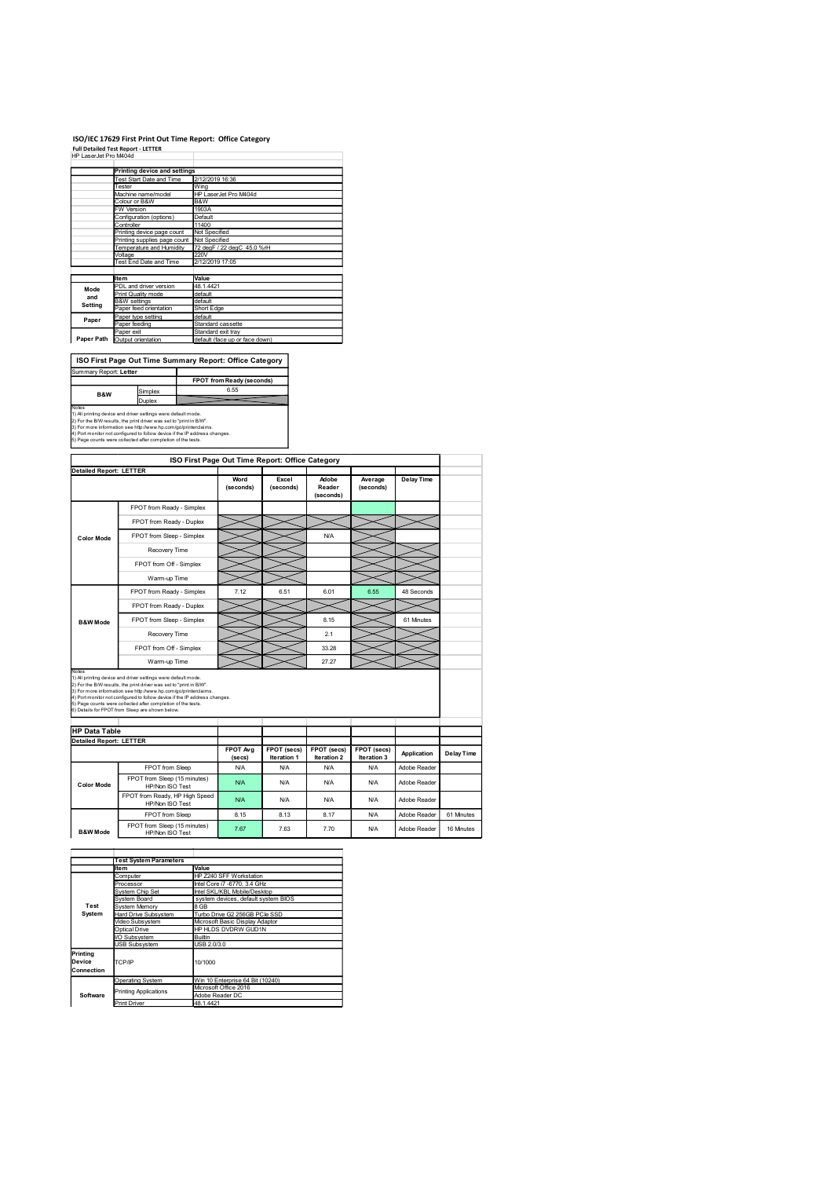### ISO/IEC 17629 First Print Out Time Report: Office Category

|                        |                                                                                                                                      | ISO/IEC 17629 First Print Out Time Report: Office Category |
|------------------------|--------------------------------------------------------------------------------------------------------------------------------------|------------------------------------------------------------|
|                        | <b>Full Detailed Test Report - LETTER</b>                                                                                            |                                                            |
| HP LaserJet Pro M404d  |                                                                                                                                      |                                                            |
|                        | <b>Printing device and settings</b>                                                                                                  |                                                            |
|                        | Test Start Date and Time                                                                                                             | 2/12/2019 16:36                                            |
|                        | Tester                                                                                                                               | Wing                                                       |
|                        | Machine name/model<br>Colour or B&W                                                                                                  | HP LaserJet Pro M404d<br>B&W                               |
|                        | W Version                                                                                                                            | 1903A                                                      |
|                        | Configuration (options)<br>Controller                                                                                                | Default<br>11400                                           |
|                        | Printing device page count                                                                                                           | Not Specified                                              |
|                        | Printing supplies page count                                                                                                         | Not Specified<br>72 degF / 22 degC 45.0 %rH                |
|                        | Temperature and Humidity<br>Voltage                                                                                                  | 220V                                                       |
|                        | Test End Date and Time                                                                                                               | 2/12/2019 17:05                                            |
|                        | <b>Item</b>                                                                                                                          | Value                                                      |
|                        | PDL and driver version                                                                                                               | 48.1.4421                                                  |
|                        |                                                                                                                                      | default<br>default                                         |
| Mode<br>and            | Print Quality mode                                                                                                                   | Short Edge                                                 |
| Setting                | <b>B&amp;W</b> settings                                                                                                              |                                                            |
|                        | Paper feed orientation<br>Paper type setting                                                                                         | default                                                    |
| Paper                  | Paper feeding                                                                                                                        | Standard cassette                                          |
|                        | Paper exit<br>Paper Path Output orientation                                                                                          | Standard exit tray<br>default (face up or face down)       |
|                        |                                                                                                                                      |                                                            |
|                        |                                                                                                                                      | ISO First Page Out Time Summary Report: Office Category    |
| Summary Report: Letter |                                                                                                                                      |                                                            |
|                        |                                                                                                                                      | FPOT from Ready (seconds)                                  |
| B&W                    | Simplex                                                                                                                              | 6.55                                                       |
|                        | Duplex                                                                                                                               |                                                            |
| Notes                  | 1) All printing device and driver settings were default mode.<br>2) For the B/W results, the print driver was set to "print in B/W". |                                                            |

|                                                        | <b>Printing device and settings</b><br>Test Start Date and Time<br>12/2019 16:36                                                              |                                          |                                                             |                                                 |             |             |              |                   |
|--------------------------------------------------------|-----------------------------------------------------------------------------------------------------------------------------------------------|------------------------------------------|-------------------------------------------------------------|-------------------------------------------------|-------------|-------------|--------------|-------------------|
|                                                        | Wing<br>Tester<br>Machine name/model<br>HP LaserJet Pro M404d                                                                                 |                                          |                                                             |                                                 |             |             |              |                   |
|                                                        | Colour or B&W<br>B&W<br>FW Version                                                                                                            |                                          |                                                             |                                                 |             |             |              |                   |
|                                                        | Configuration (options)                                                                                                                       | 1903A<br>Default                         |                                                             |                                                 |             |             |              |                   |
|                                                        | Controller<br>Printing device page count                                                                                                      | 11400<br>Not Specified                   |                                                             |                                                 |             |             |              |                   |
|                                                        | Printing supplies page count Not Specified                                                                                                    |                                          |                                                             |                                                 |             |             |              |                   |
|                                                        | 72 degF / 22 degC 45.0 %rH<br>Temperature and Humidity<br>20V<br>Voltage                                                                      |                                          |                                                             |                                                 |             |             |              |                   |
|                                                        | Test End Date and Time                                                                                                                        | 2/12/2019 17:05                          |                                                             |                                                 |             |             |              |                   |
|                                                        | ltem                                                                                                                                          | Value                                    |                                                             |                                                 |             |             |              |                   |
| Mode                                                   | PDL and driver version                                                                                                                        | 48.1.4421                                |                                                             |                                                 |             |             |              |                   |
| and<br>Setting                                         | Print Quality mode<br><b>B&amp;W</b> settings                                                                                                 | default<br>lefault                       |                                                             |                                                 |             |             |              |                   |
|                                                        | Paper feed orientation                                                                                                                        | Short Edge                               |                                                             |                                                 |             |             |              |                   |
| Paper                                                  | Paper type setting<br>Paper feeding                                                                                                           | default<br>Standard cassette             |                                                             |                                                 |             |             |              |                   |
| Paper Path                                             | Paper exit<br>Output orientation                                                                                                              | Standard exit tray                       | default (face up or face down)                              |                                                 |             |             |              |                   |
|                                                        |                                                                                                                                               |                                          |                                                             |                                                 |             |             |              |                   |
|                                                        | ISO First Page Out Time Summary Report: Office Category                                                                                       |                                          |                                                             |                                                 |             |             |              |                   |
| Summary Report: Letter                                 |                                                                                                                                               |                                          |                                                             |                                                 |             |             |              |                   |
|                                                        |                                                                                                                                               | FPOT from Ready (seconds)                |                                                             |                                                 |             |             |              |                   |
| B&W                                                    | Simplex                                                                                                                                       |                                          | 6.55                                                        |                                                 |             |             |              |                   |
| Notes                                                  | Duplex                                                                                                                                        |                                          |                                                             |                                                 |             |             |              |                   |
|                                                        | 1) All printing device and driver settings were default mode.<br>2) For the B/W results, the print driver was set to "print in B/W".          |                                          |                                                             |                                                 |             |             |              |                   |
|                                                        | 3) For more information see http://www.hp.com/go/printerclaims.<br>4) Port monitor not configured to follow device if the IP address changes. |                                          |                                                             |                                                 |             |             |              |                   |
|                                                        | 5) Page counts were collected after completion of the tests.                                                                                  |                                          |                                                             |                                                 |             |             |              |                   |
|                                                        |                                                                                                                                               |                                          |                                                             |                                                 |             |             |              |                   |
|                                                        |                                                                                                                                               |                                          |                                                             | ISO First Page Out Time Report: Office Category |             |             |              |                   |
| <b>Detailed Report: LETTER</b>                         |                                                                                                                                               |                                          | Word                                                        | Excel                                           | Adobe       | Average     | Delay Time   |                   |
|                                                        |                                                                                                                                               |                                          | (seconds)                                                   | (seconds)                                       | Reader      | (seconds)   |              |                   |
|                                                        |                                                                                                                                               |                                          |                                                             |                                                 | (seconds)   |             |              |                   |
|                                                        | FPOT from Ready - Simplex                                                                                                                     |                                          |                                                             |                                                 |             |             |              |                   |
|                                                        | FPOT from Ready - Duplex                                                                                                                      |                                          |                                                             |                                                 |             |             |              |                   |
| <b>Color Mode</b>                                      | FPOT from Sleep - Simplex                                                                                                                     |                                          |                                                             |                                                 | N/A         |             |              |                   |
|                                                        | Recovery Time                                                                                                                                 |                                          |                                                             |                                                 |             |             |              |                   |
|                                                        |                                                                                                                                               |                                          |                                                             |                                                 |             |             |              |                   |
|                                                        | FPOT from Off - Simplex                                                                                                                       |                                          |                                                             |                                                 |             |             |              |                   |
|                                                        | Warm-up Time                                                                                                                                  |                                          |                                                             |                                                 |             |             |              |                   |
|                                                        | FPOT from Ready - Simplex                                                                                                                     |                                          | 7.12                                                        | 6.51                                            | 6.01        | 6.55        | 48 Seconds   |                   |
|                                                        | FPOT from Ready - Duplex                                                                                                                      |                                          |                                                             |                                                 |             |             |              |                   |
|                                                        |                                                                                                                                               |                                          |                                                             |                                                 |             |             |              |                   |
| <b>B&amp;W</b> Mode                                    | FPOT from Sleep - Simplex                                                                                                                     |                                          |                                                             |                                                 | 8.15        |             | 61 Minutes   |                   |
|                                                        | Recovery Time                                                                                                                                 |                                          |                                                             |                                                 | 2.1         |             |              |                   |
|                                                        | FPOT from Off - Simplex                                                                                                                       |                                          |                                                             |                                                 | 33.28       |             |              |                   |
|                                                        | Warm-up Time                                                                                                                                  |                                          |                                                             |                                                 | 27.27       |             |              |                   |
| Notes                                                  |                                                                                                                                               |                                          |                                                             |                                                 |             |             |              |                   |
|                                                        | 1) All printing device and driver settings were default mode.<br>2) For the B/W results, the print driver was set to "print in B/W".          |                                          |                                                             |                                                 |             |             |              |                   |
|                                                        |                                                                                                                                               |                                          |                                                             |                                                 |             |             |              |                   |
|                                                        | 3) For more information see http://www.hp.com/go/printerclaims.<br>4) Port monitor not configured to follow device if the IP address changes. |                                          |                                                             |                                                 |             |             |              |                   |
|                                                        | 5) Page counts were collected after completion of the tests.                                                                                  |                                          |                                                             |                                                 |             |             |              |                   |
|                                                        | 6) Details for FPOT from Sleep are shown below.                                                                                               |                                          |                                                             |                                                 |             |             |              |                   |
|                                                        |                                                                                                                                               |                                          |                                                             |                                                 |             |             |              |                   |
| <b>HP Data Table</b><br><b>Detailed Report: LETTER</b> |                                                                                                                                               |                                          |                                                             |                                                 |             |             |              |                   |
|                                                        |                                                                                                                                               |                                          | FPOT Avg                                                    | FPOT (secs)                                     | FPOT (secs) | FPOT (secs) | Application  | <b>Delay Time</b> |
|                                                        |                                                                                                                                               |                                          | (secs)                                                      | Iteration 1                                     | Iteration 2 | Iteration 3 |              |                   |
|                                                        | FPOT from Sleep                                                                                                                               |                                          | <b>N/A</b>                                                  | N/A                                             | <b>N/A</b>  | <b>N/A</b>  | Adobe Reader |                   |
| <b>Color Mode</b>                                      | FPOT from Sleep (15 minutes)<br>HP/Non ISO Test                                                                                               |                                          | N/A                                                         | <b>N/A</b>                                      | N/A         | <b>N/A</b>  | Adobe Reader |                   |
|                                                        | FPO I from Ready, HP High Speed                                                                                                               |                                          | <b>N/A</b>                                                  | <b>N/A</b>                                      | N/A         | <b>N/A</b>  | Adobe Reader |                   |
|                                                        | HP/Non ISO Test<br>FPOT from Sleep                                                                                                            |                                          | 8.15                                                        | 8.13                                            | 8.17        | <b>N/A</b>  | Adobe Reader | 61 Minutes        |
|                                                        | FPOT from Sleep (15 minutes)                                                                                                                  |                                          |                                                             |                                                 |             |             |              |                   |
| <b>B&amp;W</b> Mode                                    | HP/Non ISO Test                                                                                                                               |                                          | 7.67                                                        | 7.63                                            | 7.70        | <b>N/A</b>  | Adobe Reader | 16 Minutes        |
|                                                        |                                                                                                                                               |                                          |                                                             |                                                 |             |             |              |                   |
|                                                        | <b>Test System Parameters</b>                                                                                                                 |                                          |                                                             |                                                 |             |             |              |                   |
|                                                        | Item                                                                                                                                          | Value                                    |                                                             |                                                 |             |             |              |                   |
|                                                        | Computer                                                                                                                                      |                                          | HP Z240 SFF Workstation                                     |                                                 |             |             |              |                   |
|                                                        | Processor<br>System Chip Set                                                                                                                  |                                          | ntel Core i7 -6770, 3.4 GHz<br>Intel SKL/KBL Mobile/Desktop |                                                 |             |             |              |                   |
| Test                                                   | System Board                                                                                                                                  |                                          | system devices, default system BIOS                         |                                                 |             |             |              |                   |
| System                                                 | System Memory<br>Hard Drive Subsystem                                                                                                         | B GB                                     | Turbo Drive G2 256GB PCle SSD                               |                                                 |             |             |              |                   |
|                                                        | Video Subsystem                                                                                                                               |                                          | Microsoft Basic Display Adaptor                             |                                                 |             |             |              |                   |
|                                                        | Optical Drive<br>I/O Subsystem                                                                                                                | <b>Builtin</b>                           | HP HLDS DVDRW GUD1N                                         |                                                 |             |             |              |                   |
|                                                        | USB Subsystem                                                                                                                                 | USB 2.0/3.0                              |                                                             |                                                 |             |             |              |                   |
| Printing<br>Device                                     | TCP/IP                                                                                                                                        | 10/1000                                  |                                                             |                                                 |             |             |              |                   |
| Connection                                             |                                                                                                                                               |                                          |                                                             |                                                 |             |             |              |                   |
|                                                        | Operating System                                                                                                                              |                                          | Win 10 Enterprise 64 Bit (10240)                            |                                                 |             |             |              |                   |
| Software                                               | Printing Applications                                                                                                                         | Microsoft Office 2016<br>Adobe Reader DC |                                                             |                                                 |             |             |              |                   |
|                                                        | Print Driver                                                                                                                                  | 48.1.4421                                |                                                             |                                                 |             |             |              |                   |
|                                                        |                                                                                                                                               |                                          |                                                             |                                                 |             |             |              |                   |
|                                                        |                                                                                                                                               |                                          |                                                             |                                                 |             |             |              |                   |
|                                                        |                                                                                                                                               |                                          |                                                             |                                                 |             |             |              |                   |
|                                                        |                                                                                                                                               |                                          |                                                             |                                                 |             |             |              |                   |
|                                                        |                                                                                                                                               |                                          |                                                             |                                                 |             |             |              |                   |
|                                                        |                                                                                                                                               |                                          |                                                             |                                                 |             |             |              |                   |
|                                                        |                                                                                                                                               |                                          |                                                             |                                                 |             |             |              |                   |

|                    | <b>Test System Parameters</b> |                                     |  |  |  |  |
|--------------------|-------------------------------|-------------------------------------|--|--|--|--|
|                    | Ite <sub>m</sub>              | Value                               |  |  |  |  |
|                    | Computer                      | HP Z240 SFF Workstation             |  |  |  |  |
|                    | Processor                     | Intel Core i7 -6770, 3.4 GHz        |  |  |  |  |
|                    | System Chip Set               | Intel SKL/KBL Mobile/Desktop        |  |  |  |  |
|                    | System Board                  | system devices, default system BIOS |  |  |  |  |
| Test               | <b>System Memory</b>          | 8 GB                                |  |  |  |  |
| System             | Hard Drive Subsystem          | Turbo Drive G2 256GB PCIe SSD       |  |  |  |  |
|                    | Video Subsystem               | Microsoft Basic Display Adaptor     |  |  |  |  |
|                    | Optical Drive                 | HP HLDS DVDRW GUD1N                 |  |  |  |  |
|                    | I/O Subsystem                 | Builtin                             |  |  |  |  |
|                    | <b>USB Subsystem</b>          | USB 2.0/3.0                         |  |  |  |  |
| Printing<br>Device | TCP/IP                        | 10/1000                             |  |  |  |  |
| Connection         |                               |                                     |  |  |  |  |
|                    | Operating System              | Win 10 Enterprise 64 Bit (10240)    |  |  |  |  |
|                    | <b>Printing Applications</b>  | Microsoft Office 2016               |  |  |  |  |
| Software           |                               | Adobe Reader DC                     |  |  |  |  |
|                    | <b>Print Driver</b>           | 48.1.4421                           |  |  |  |  |